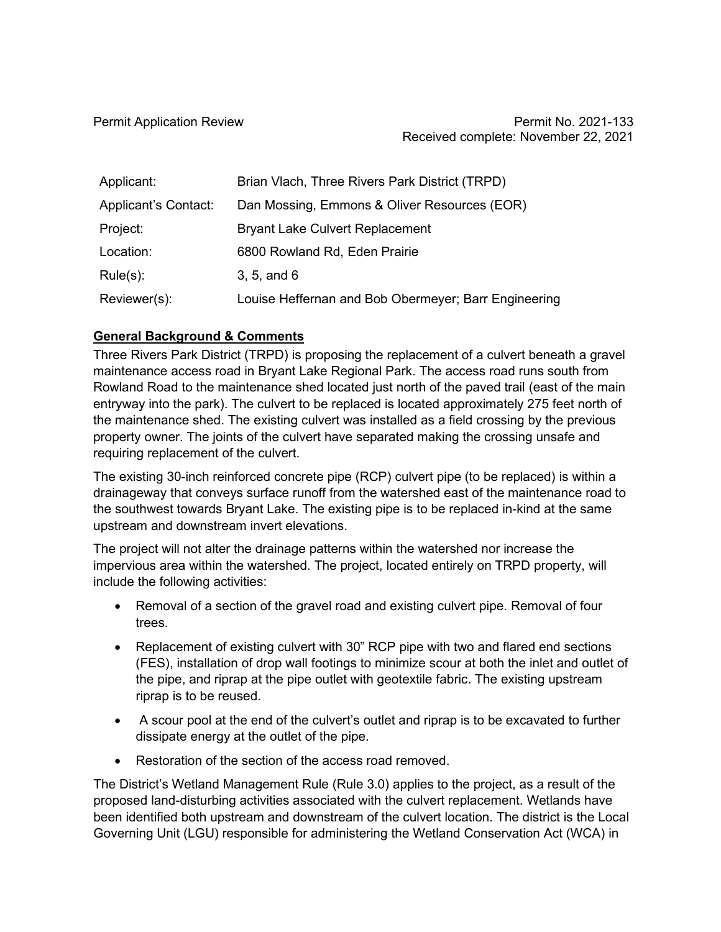| Applicant:           | Brian Vlach, Three Rivers Park District (TRPD)       |
|----------------------|------------------------------------------------------|
| Applicant's Contact: | Dan Mossing, Emmons & Oliver Resources (EOR)         |
| Project:             | <b>Bryant Lake Culvert Replacement</b>               |
| Location:            | 6800 Rowland Rd, Eden Prairie                        |
| $Rule(s)$ :          | 3, 5, and 6                                          |
| Reviewer(s):         | Louise Heffernan and Bob Obermeyer; Barr Engineering |

# **General Background & Comments**

Three Rivers Park District (TRPD) is proposing the replacement of a culvert beneath a gravel maintenance access road in Bryant Lake Regional Park. The access road runs south from Rowland Road to the maintenance shed located just north of the paved trail (east of the main entryway into the park). The culvert to be replaced is located approximately 275 feet north of the maintenance shed. The existing culvert was installed as a field crossing by the previous property owner. The joints of the culvert have separated making the crossing unsafe and requiring replacement of the culvert.

The existing 30-inch reinforced concrete pipe (RCP) culvert pipe (to be replaced) is within a drainageway that conveys surface runoff from the watershed east of the maintenance road to the southwest towards Bryant Lake. The existing pipe is to be replaced in-kind at the same upstream and downstream invert elevations.

The project will not alter the drainage patterns within the watershed nor increase the impervious area within the watershed. The project, located entirely on TRPD property, will include the following activities:

- Removal of a section of the gravel road and existing culvert pipe. Removal of four trees.
- Replacement of existing culvert with 30" RCP pipe with two and flared end sections (FES), installation of drop wall footings to minimize scour at both the inlet and outlet of the pipe, and riprap at the pipe outlet with geotextile fabric. The existing upstream riprap is to be reused.
- A scour pool at the end of the culvert's outlet and riprap is to be excavated to further dissipate energy at the outlet of the pipe.
- Restoration of the section of the access road removed.

The District's Wetland Management Rule (Rule 3.0) applies to the project, as a result of the proposed land-disturbing activities associated with the culvert replacement. Wetlands have been identified both upstream and downstream of the culvert location. The district is the Local Governing Unit (LGU) responsible for administering the Wetland Conservation Act (WCA) in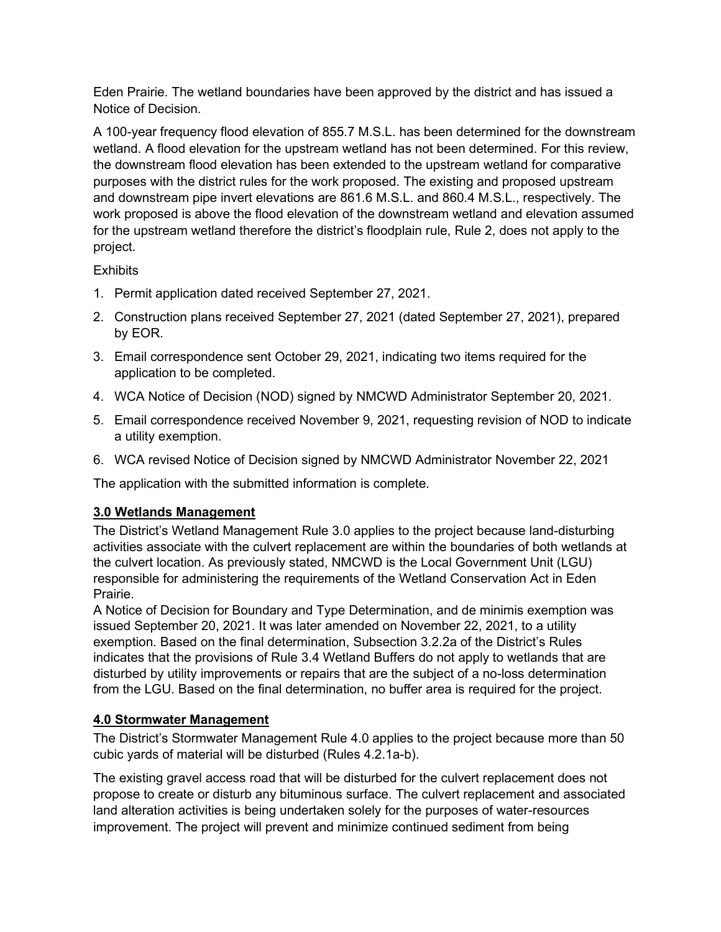Eden Prairie. The wetland boundaries have been approved by the district and has issued a Notice of Decision.

A 100-year frequency flood elevation of 855.7 M.S.L. has been determined for the downstream wetland. A flood elevation for the upstream wetland has not been determined. For this review, the downstream flood elevation has been extended to the upstream wetland for comparative purposes with the district rules for the work proposed. The existing and proposed upstream and downstream pipe invert elevations are 861.6 M.S.L. and 860.4 M.S.L., respectively. The work proposed is above the flood elevation of the downstream wetland and elevation assumed for the upstream wetland therefore the district's floodplain rule, Rule 2, does not apply to the project.

# **Exhibits**

- 1. Permit application dated received September 27, 2021.
- 2. Construction plans received September 27, 2021 (dated September 27, 2021), prepared by EOR.
- 3. Email correspondence sent October 29, 2021, indicating two items required for the application to be completed.
- 4. WCA Notice of Decision (NOD) signed by NMCWD Administrator September 20, 2021.
- 5. Email correspondence received November 9, 2021, requesting revision of NOD to indicate a utility exemption.
- 6. WCA revised Notice of Decision signed by NMCWD Administrator November 22, 2021

The application with the submitted information is complete.

### **3.0 Wetlands Management**

The District's Wetland Management Rule 3.0 applies to the project because land-disturbing activities associate with the culvert replacement are within the boundaries of both wetlands at the culvert location. As previously stated, NMCWD is the Local Government Unit (LGU) responsible for administering the requirements of the Wetland Conservation Act in Eden Prairie.

A Notice of Decision for Boundary and Type Determination, and de minimis exemption was issued September 20, 2021. It was later amended on November 22, 2021, to a utility exemption. Based on the final determination, Subsection 3.2.2a of the District's Rules indicates that the provisions of Rule 3.4 Wetland Buffers do not apply to wetlands that are disturbed by utility improvements or repairs that are the subject of a no-loss determination from the LGU. Based on the final determination, no buffer area is required for the project.

### **4.0 Stormwater Management**

The District's Stormwater Management Rule 4.0 applies to the project because more than 50 cubic yards of material will be disturbed (Rules 4.2.1a-b).

The existing gravel access road that will be disturbed for the culvert replacement does not propose to create or disturb any bituminous surface. The culvert replacement and associated land alteration activities is being undertaken solely for the purposes of water-resources improvement. The project will prevent and minimize continued sediment from being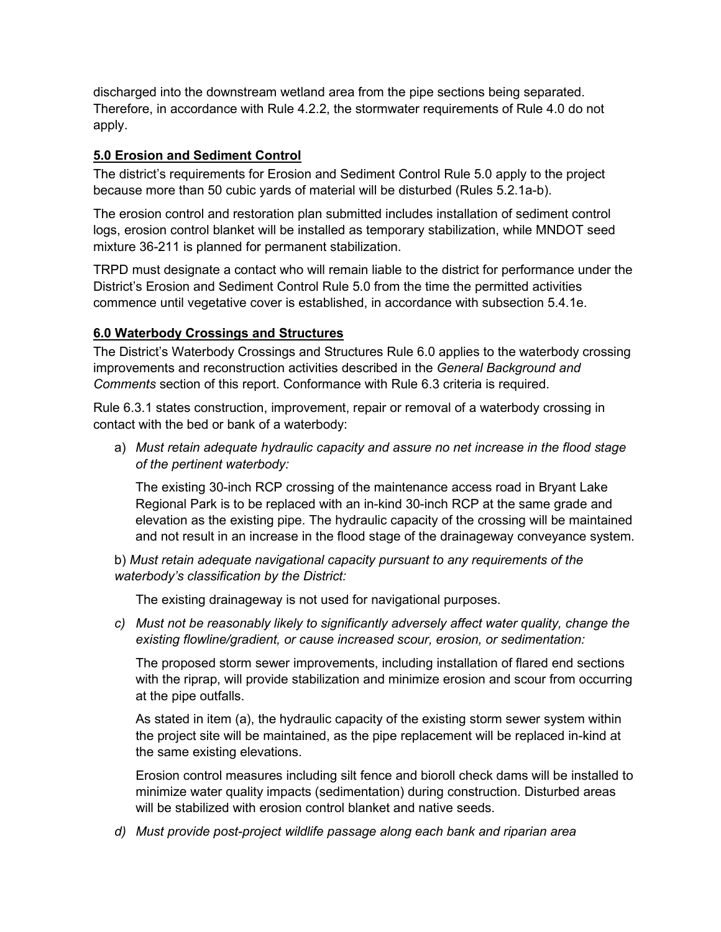discharged into the downstream wetland area from the pipe sections being separated. Therefore, in accordance with Rule 4.2.2, the stormwater requirements of Rule 4.0 do not apply.

# **5.0 Erosion and Sediment Control**

The district's requirements for Erosion and Sediment Control Rule 5.0 apply to the project because more than 50 cubic yards of material will be disturbed (Rules 5.2.1a-b).

The erosion control and restoration plan submitted includes installation of sediment control logs, erosion control blanket will be installed as temporary stabilization, while MNDOT seed mixture 36-211 is planned for permanent stabilization.

TRPD must designate a contact who will remain liable to the district for performance under the District's Erosion and Sediment Control Rule 5.0 from the time the permitted activities commence until vegetative cover is established, in accordance with subsection 5.4.1e.

# **6.0 Waterbody Crossings and Structures**

The District's Waterbody Crossings and Structures Rule 6.0 applies to the waterbody crossing improvements and reconstruction activities described in the *General Background and Comments* section of this report. Conformance with Rule 6.3 criteria is required.

Rule 6.3.1 states construction, improvement, repair or removal of a waterbody crossing in contact with the bed or bank of a waterbody:

a) *Must retain adequate hydraulic capacity and assure no net increase in the flood stage of the pertinent waterbody:* 

The existing 30-inch RCP crossing of the maintenance access road in Bryant Lake Regional Park is to be replaced with an in-kind 30-inch RCP at the same grade and elevation as the existing pipe. The hydraulic capacity of the crossing will be maintained and not result in an increase in the flood stage of the drainageway conveyance system.

b) *Must retain adequate navigational capacity pursuant to any requirements of the waterbody's classification by the District:* 

The existing drainageway is not used for navigational purposes.

*c) Must not be reasonably likely to significantly adversely affect water quality, change the existing flowline/gradient, or cause increased scour, erosion, or sedimentation:*

The proposed storm sewer improvements, including installation of flared end sections with the riprap, will provide stabilization and minimize erosion and scour from occurring at the pipe outfalls.

As stated in item (a), the hydraulic capacity of the existing storm sewer system within the project site will be maintained, as the pipe replacement will be replaced in-kind at the same existing elevations.

Erosion control measures including silt fence and bioroll check dams will be installed to minimize water quality impacts (sedimentation) during construction. Disturbed areas will be stabilized with erosion control blanket and native seeds.

*d) Must provide post-project wildlife passage along each bank and riparian area*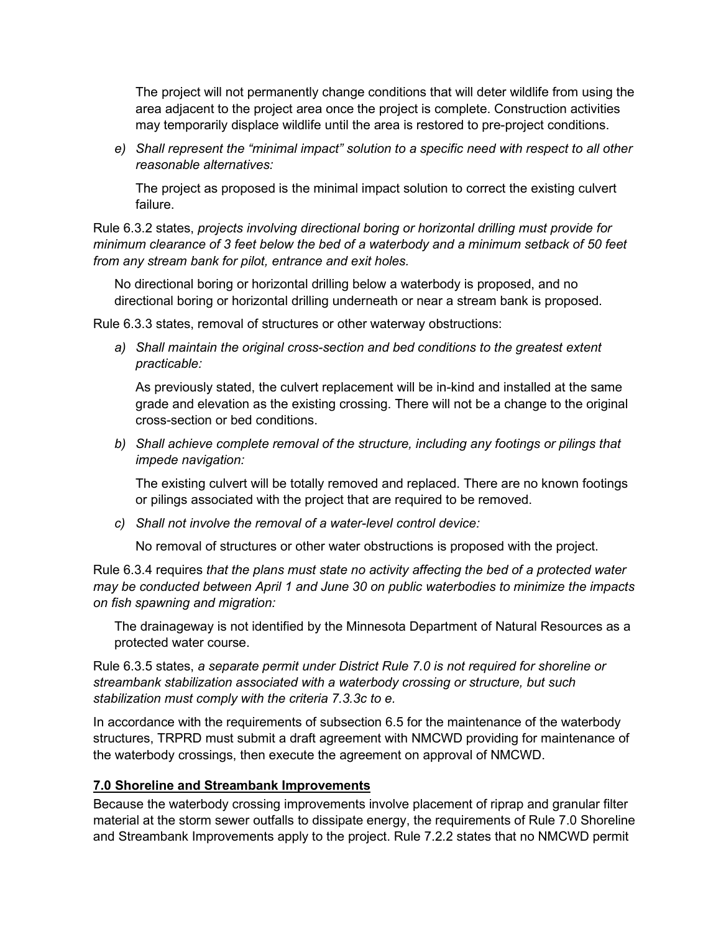The project will not permanently change conditions that will deter wildlife from using the area adjacent to the project area once the project is complete. Construction activities may temporarily displace wildlife until the area is restored to pre-project conditions.

*e) Shall represent the "minimal impact" solution to a specific need with respect to all other reasonable alternatives:* 

The project as proposed is the minimal impact solution to correct the existing culvert failure.

Rule 6.3.2 states, *projects involving directional boring or horizontal drilling must provide for minimum clearance of 3 feet below the bed of a waterbody and a minimum setback of 50 feet from any stream bank for pilot, entrance and exit holes.*

No directional boring or horizontal drilling below a waterbody is proposed, and no directional boring or horizontal drilling underneath or near a stream bank is proposed.

Rule 6.3.3 states, removal of structures or other waterway obstructions:

*a) Shall maintain the original cross-section and bed conditions to the greatest extent practicable:*

As previously stated, the culvert replacement will be in-kind and installed at the same grade and elevation as the existing crossing. There will not be a change to the original cross-section or bed conditions.

*b) Shall achieve complete removal of the structure, including any footings or pilings that impede navigation:*

The existing culvert will be totally removed and replaced. There are no known footings or pilings associated with the project that are required to be removed.

*c) Shall not involve the removal of a water-level control device:*

No removal of structures or other water obstructions is proposed with the project.

Rule 6.3.4 requires *that the plans must state no activity affecting the bed of a protected water may be conducted between April 1 and June 30 on public waterbodies to minimize the impacts on fish spawning and migration:* 

The drainageway is not identified by the Minnesota Department of Natural Resources as a protected water course.

Rule 6.3.5 states, *a separate permit under District Rule 7.0 is not required for shoreline or streambank stabilization associated with a waterbody crossing or structure, but such stabilization must comply with the criteria 7.3.3c to e.*

In accordance with the requirements of subsection 6.5 for the maintenance of the waterbody structures, TRPRD must submit a draft agreement with NMCWD providing for maintenance of the waterbody crossings, then execute the agreement on approval of NMCWD.

### **7.0 Shoreline and Streambank Improvements**

Because the waterbody crossing improvements involve placement of riprap and granular filter material at the storm sewer outfalls to dissipate energy, the requirements of Rule 7.0 Shoreline and Streambank Improvements apply to the project. Rule 7.2.2 states that no NMCWD permit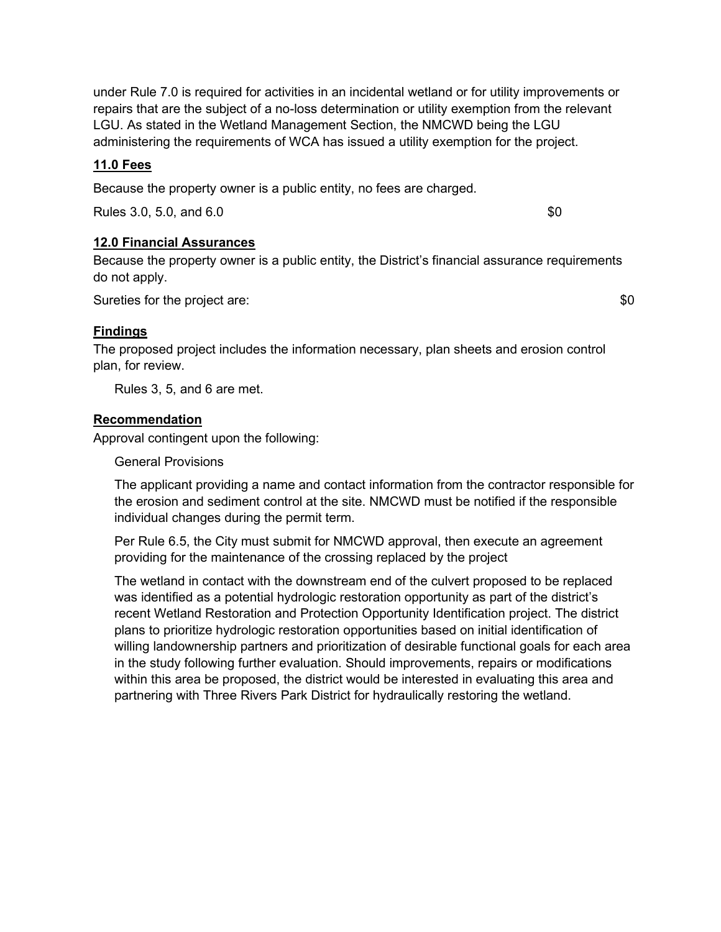under Rule 7.0 is required for activities in an incidental wetland or for utility improvements or repairs that are the subject of a no-loss determination or utility exemption from the relevant LGU. As stated in the Wetland Management Section, the NMCWD being the LGU administering the requirements of WCA has issued a utility exemption for the project.

### **11.0 Fees**

Because the property owner is a public entity, no fees are charged.

Rules 3.0, 5.0, and 6.0 \$0

#### **12.0 Financial Assurances**

Because the property owner is a public entity, the District's financial assurance requirements do not apply.

Sureties for the project are:  $$0$ 

### **Findings**

The proposed project includes the information necessary, plan sheets and erosion control plan, for review.

Rules 3, 5, and 6 are met.

### **Recommendation**

Approval contingent upon the following:

General Provisions

The applicant providing a name and contact information from the contractor responsible for the erosion and sediment control at the site. NMCWD must be notified if the responsible individual changes during the permit term.

Per Rule 6.5, the City must submit for NMCWD approval, then execute an agreement providing for the maintenance of the crossing replaced by the project

The wetland in contact with the downstream end of the culvert proposed to be replaced was identified as a potential hydrologic restoration opportunity as part of the district's recent Wetland Restoration and Protection Opportunity Identification project. The district plans to prioritize hydrologic restoration opportunities based on initial identification of willing landownership partners and prioritization of desirable functional goals for each area in the study following further evaluation. Should improvements, repairs or modifications within this area be proposed, the district would be interested in evaluating this area and partnering with Three Rivers Park District for hydraulically restoring the wetland.